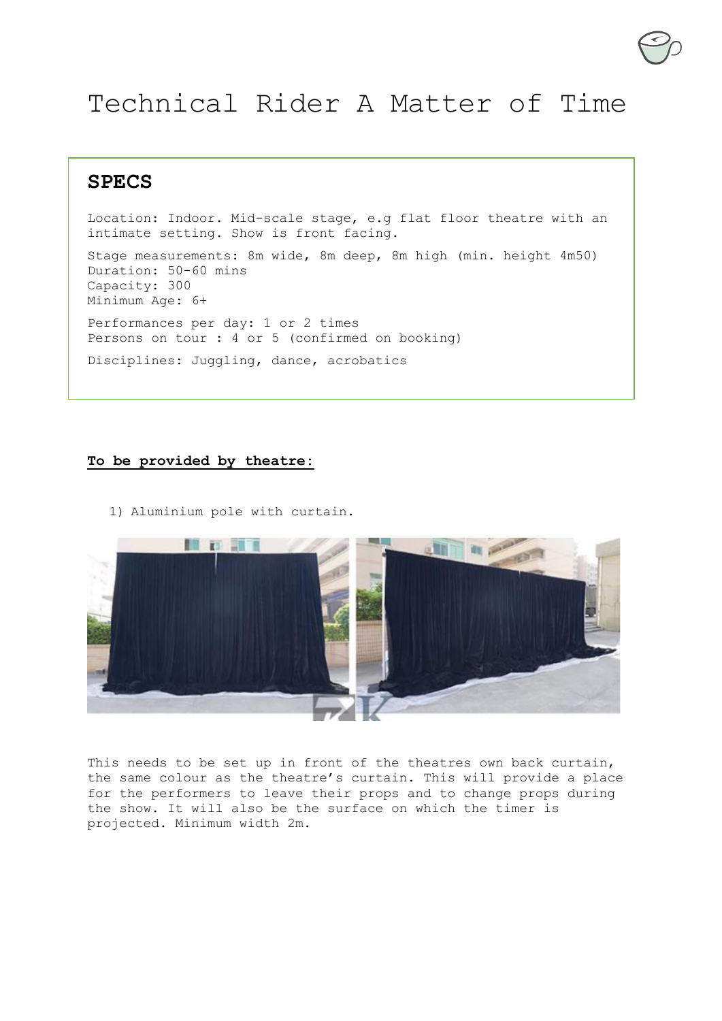## Technical Rider A Matter of Time

**SPECS**

Location: Indoor. Mid-scale stage, e.g flat floor theatre with an intimate setting. Show is front facing. Stage measurements: 8m wide, 8m deep, 8m high (min. height 4m50) Duration: 50-60 mins Capacity: 300 Minimum Age: 6+ Performances per day: 1 or 2 times Persons on tour : 4 or 5 (confirmed on booking) Disciplines: Juggling, dance, acrobatics

## **To be provided by theatre:**

1) Aluminium pole with curtain.



This needs to be set up in front of the theatres own back curtain, the same colour as the theatre's curtain. This will provide a place for the performers to leave their props and to change props during the show. It will also be the surface on which the timer is projected. Minimum width 2m.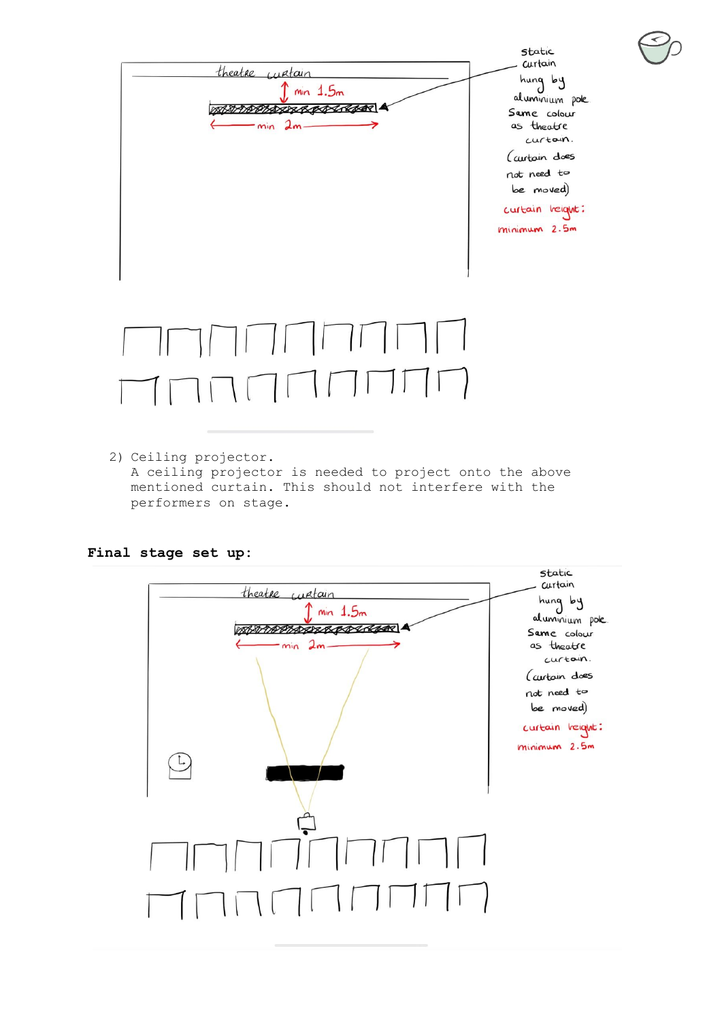

2) Ceiling projector. A ceiling projector is needed to project onto the above mentioned curtain. This should not interfere with the performers on stage.

## **Final stage set up:**